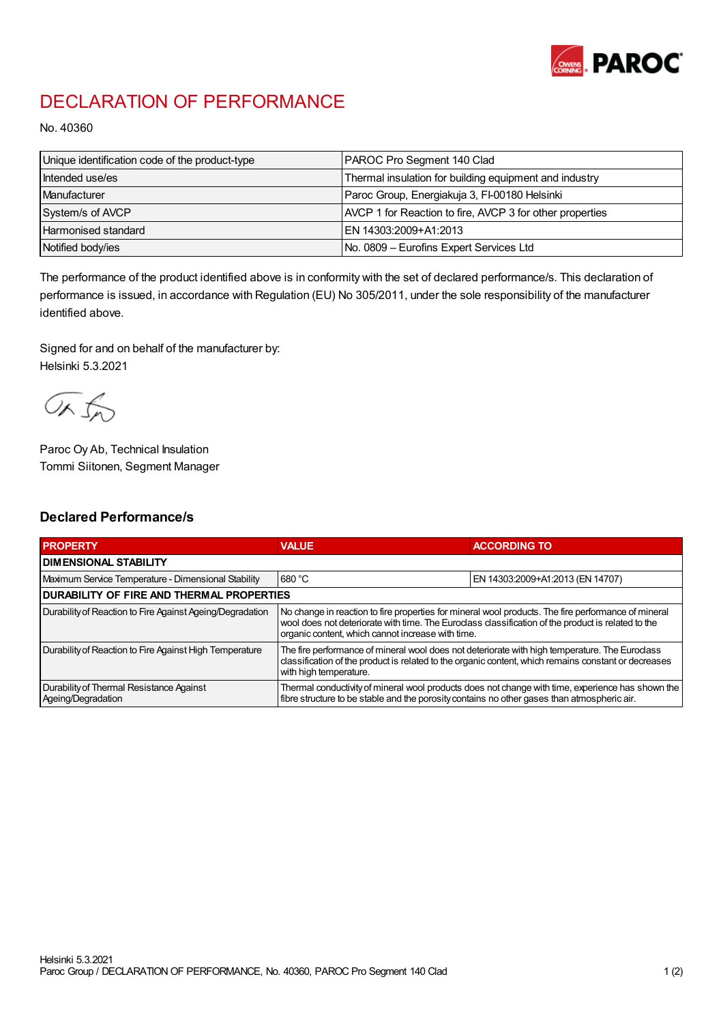

## DECLARATION OF PERFORMANCE

No. 40360

| Unique identification code of the product-type | PAROC Pro Segment 140 Clad                               |
|------------------------------------------------|----------------------------------------------------------|
| Intended use/es                                | Thermal insulation for building equipment and industry   |
| Manufacturer                                   | Paroc Group, Energiakuja 3, FI-00180 Helsinki            |
| System/s of AVCP                               | AVCP 1 for Reaction to fire, AVCP 3 for other properties |
| Harmonised standard                            | EN 14303:2009+A1:2013                                    |
| Notified body/ies                              | No. 0809 - Eurofins Expert Services Ltd                  |

The performance of the product identified above is in conformity with the set of declared performance/s. This declaration of performance is issued, in accordance with Regulation (EU) No 305/2011, under the sole responsibility of the manufacturer identified above.

Signed for and on behalf of the manufacturer by: Helsinki 5.3.2021

ORJO

Paroc Oy Ab, Technical Insulation Tommi Siitonen, Segment Manager

## Declared Performance/s

| <b>PROPERTY</b>                                                | <b>VALUE</b>                                                                                                                                                                                                                                                   | <b>ACCORDING TO</b>              |  |
|----------------------------------------------------------------|----------------------------------------------------------------------------------------------------------------------------------------------------------------------------------------------------------------------------------------------------------------|----------------------------------|--|
| <b>I DIMENSIONAL STABILITY</b>                                 |                                                                                                                                                                                                                                                                |                                  |  |
| Maximum Service Temperature - Dimensional Stability            | 680 °C                                                                                                                                                                                                                                                         | EN 14303:2009+A1:2013 (EN 14707) |  |
| <b>DURABILITY OF FIRE AND THERMAL PROPERTIES</b>               |                                                                                                                                                                                                                                                                |                                  |  |
| Durability of Reaction to Fire Against Ageing/Degradation      | No change in reaction to fire properties for mineral wool products. The fire performance of mineral<br>wool does not deteriorate with time. The Euroclass classification of the product is related to the<br>organic content, which cannot increase with time. |                                  |  |
| Durability of Reaction to Fire Against High Temperature        | The fire performance of mineral wool does not deteriorate with high temperature. The Euroclass<br>classification of the product is related to the organic content, which remains constant or decreases<br>with high temperature.                               |                                  |  |
| Durability of Thermal Resistance Against<br>Ageing/Degradation | Thermal conductivity of mineral wool products does not change with time, experience has shown the<br>fibre structure to be stable and the porosity contains no other gases than atmospheric air.                                                               |                                  |  |